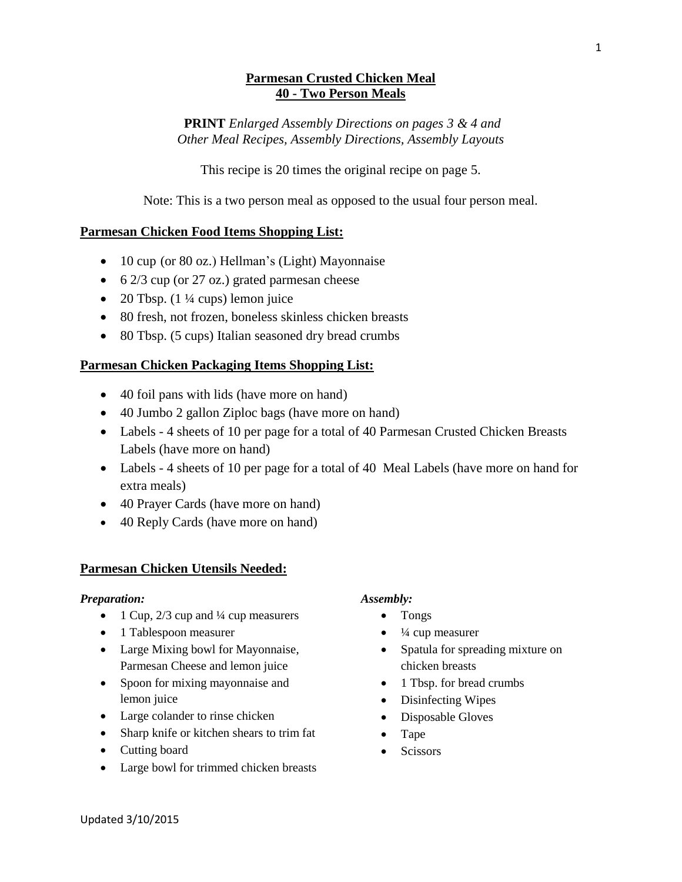## **Parmesan Crusted Chicken Meal 40 - Two Person Meals**

**PRINT** *Enlarged Assembly Directions on pages 3 & 4 and Other Meal Recipes, Assembly Directions, Assembly Layouts*

This recipe is 20 times the original recipe on page 5.

Note: This is a two person meal as opposed to the usual four person meal.

## **Parmesan Chicken Food Items Shopping List:**

- 10 cup (or 80 oz.) Hellman's (Light) Mayonnaise
- $\bullet$  6 2/3 cup (or 27 oz.) grated parmesan cheese
- 20 Tbsp.  $(1\frac{1}{4}$  cups) lemon juice
- 80 fresh, not frozen, boneless skinless chicken breasts
- 80 Tbsp. (5 cups) Italian seasoned dry bread crumbs

## **Parmesan Chicken Packaging Items Shopping List:**

- 40 foil pans with lids (have more on hand)
- 40 Jumbo 2 gallon Ziploc bags (have more on hand)
- Labels 4 sheets of 10 per page for a total of 40 Parmesan Crusted Chicken Breasts Labels (have more on hand)
- Labels 4 sheets of 10 per page for a total of 40 Meal Labels (have more on hand for extra meals)
- 40 Prayer Cards (have more on hand)
- 40 Reply Cards (have more on hand)

#### **Parmesan Chicken Utensils Needed:**

#### *Preparation:*

- 1 Cup,  $2/3$  cup and  $\frac{1}{4}$  cup measurers
- 1 Tablespoon measurer
- Large Mixing bowl for Mayonnaise, Parmesan Cheese and lemon juice
- Spoon for mixing mayonnaise and lemon juice
- Large colander to rinse chicken
- Sharp knife or kitchen shears to trim fat
- Cutting board
- Large bowl for trimmed chicken breasts

#### *Assembly:*

- Tongs
- $\bullet$   $\frac{1}{4}$  cup measurer
- Spatula for spreading mixture on chicken breasts
- 1 Tbsp. for bread crumbs
- Disinfecting Wipes
- Disposable Gloves
- Tape
- **Scissors**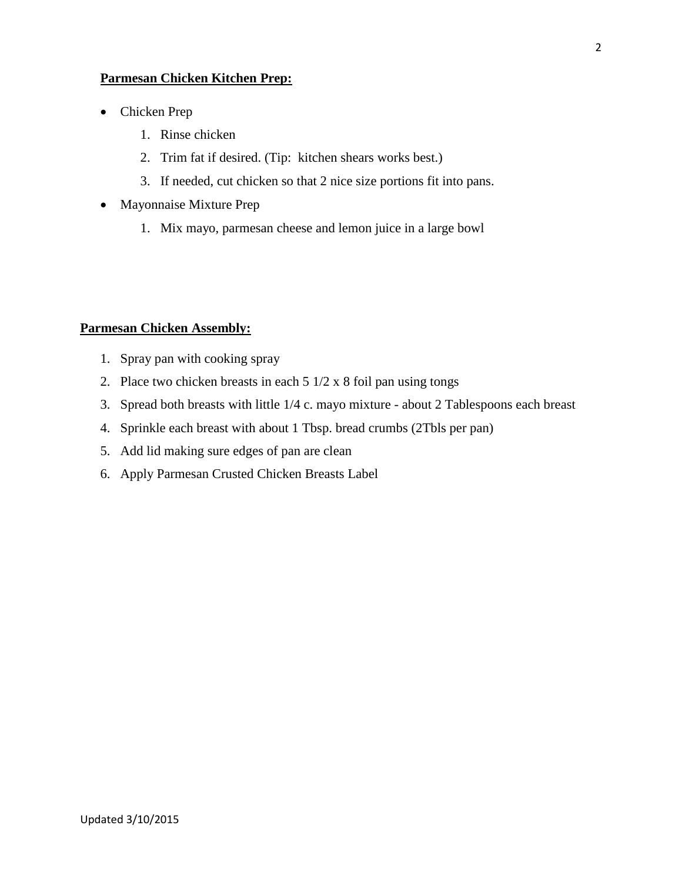#### **Parmesan Chicken Kitchen Prep:**

- Chicken Prep
	- 1. Rinse chicken
	- 2. Trim fat if desired. (Tip: kitchen shears works best.)
	- 3. If needed, cut chicken so that 2 nice size portions fit into pans.
- Mayonnaise Mixture Prep
	- 1. Mix mayo, parmesan cheese and lemon juice in a large bowl

#### **Parmesan Chicken Assembly:**

- 1. Spray pan with cooking spray
- 2. Place two chicken breasts in each  $5 \frac{1}{2} \times 8$  foil pan using tongs
- 3. Spread both breasts with little 1/4 c. mayo mixture about 2 Tablespoons each breast
- 4. Sprinkle each breast with about 1 Tbsp. bread crumbs (2Tbls per pan)
- 5. Add lid making sure edges of pan are clean
- 6. Apply Parmesan Crusted Chicken Breasts Label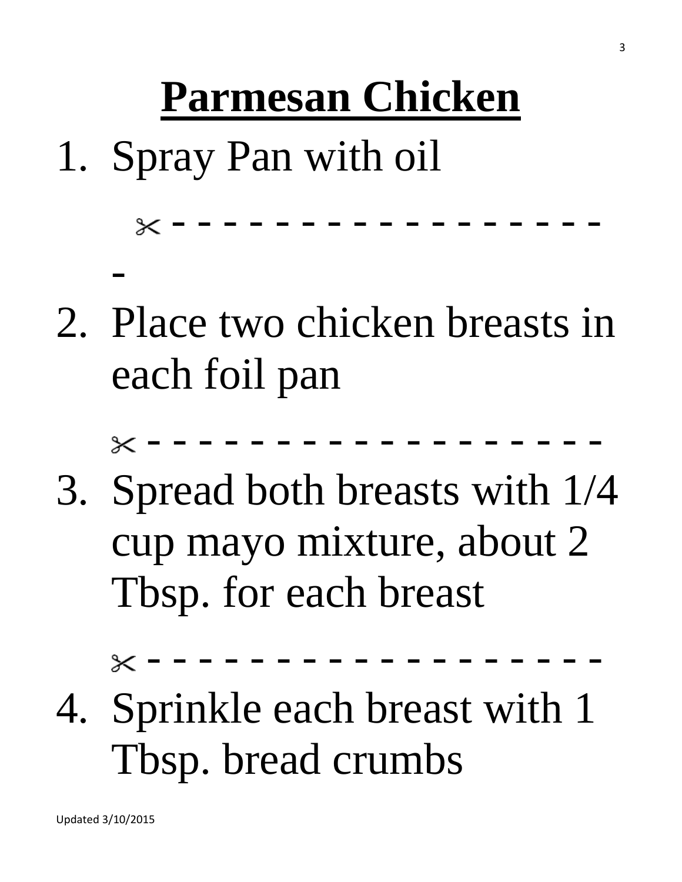# **Parmesan Chicken**

1. Spray Pan with oil

- - - - - - - - - - - - - - - - -

2. Place two chicken breasts in each foil pan

- - - - - - - - - - - - - - - - - -

3. Spread both breasts with 1/4 cup mayo mixture, about 2 Tbsp. for each breast

- - - - - - - - - - - - - - - - - -

4. Sprinkle each breast with 1 Tbsp. bread crumbs

-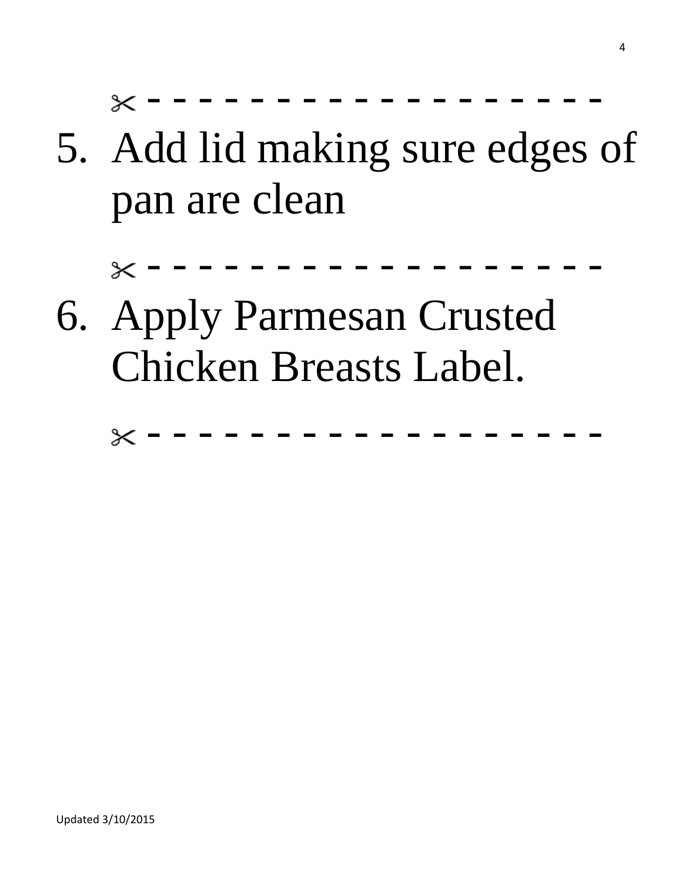- - - - - - - - - - - - - - - - - -  $\times$ 

5. Add lid making sure edges of pan are clean

- - - - - - - - - - - - - - - - - -  $\times$ 

6. Apply Parmesan Crusted Chicken Breasts Label.

> - - - - - - - - - - - - - - - - - - $\times$